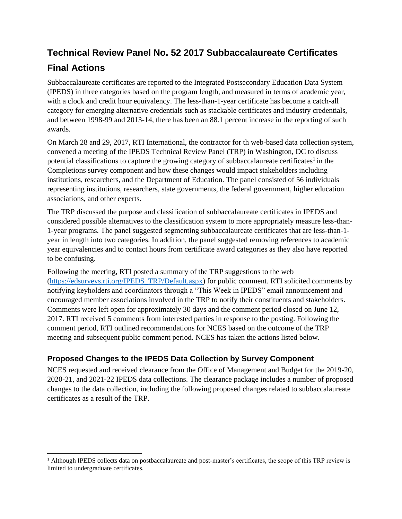# **Technical Review Panel No. 52 2017 Subbaccalaureate Certificates Final Actions**

Subbaccalaureate certificates are reported to the Integrated Postsecondary Education Data System (IPEDS) in three categories based on the program length, and measured in terms of academic year, with a clock and credit hour equivalency. The less-than-1-year certificate has become a catch-all category for emerging alternative credentials such as stackable certificates and industry credentials, and between 1998-99 and 2013-14, there has been an 88.1 percent increase in the reporting of such awards.

On March 28 and 29, 2017, RTI International, the contractor for th web-based data collection system, convened a meeting of the IPEDS Technical Review Panel (TRP) in Washington, DC to discuss potential classifications to capture the growing category of subbaccalaureate certificates<sup>1</sup> in the Completions survey component and how these changes would impact stakeholders including institutions, researchers, and the Department of Education. The panel consisted of 56 individuals representing institutions, researchers, state governments, the federal government, higher education associations, and other experts.

The TRP discussed the purpose and classification of subbaccalaureate certificates in IPEDS and considered possible alternatives to the classification system to more appropriately measure less-than-1-year programs. The panel suggested segmenting subbaccalaureate certificates that are less-than-1 year in length into two categories. In addition, the panel suggested removing references to academic year equivalencies and to contact hours from certificate award categories as they also have reported to be confusing.

Following the meeting, RTI posted a summary of the TRP suggestions to the web [\(https://edsurveys.rti.org/IPEDS\\_TRP/Default.aspx\)](https://edsurveys.rti.org/IPEDS_TRP/Default.aspx) for public comment. RTI solicited comments by notifying keyholders and coordinators through a "This Week in IPEDS" email announcement and encouraged member associations involved in the TRP to notify their constituents and stakeholders. Comments were left open for approximately 30 days and the comment period closed on June 12, 2017. RTI received 5 comments from interested parties in response to the posting. Following the comment period, RTI outlined recommendations for NCES based on the outcome of the TRP meeting and subsequent public comment period. NCES has taken the actions listed below.

## **Proposed Changes to the IPEDS Data Collection by Survey Component**

NCES requested and received clearance from the Office of Management and Budget for the 2019-20, 2020-21, and 2021-22 IPEDS data collections. The clearance package includes a number of proposed changes to the data collection, including the following proposed changes related to subbaccalaureate certificates as a result of the TRP.

<sup>&</sup>lt;sup>1</sup> Although IPEDS collects data on postbaccalaureate and post-master's certificates, the scope of this TRP review is limited to undergraduate certificates.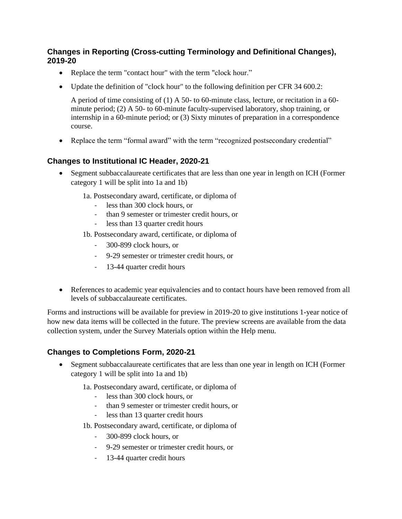#### **Changes in Reporting (Cross-cutting Terminology and Definitional Changes), 2019-20**

- Replace the term "contact hour" with the term "clock hour."
- Update the definition of "clock hour" to the following definition per CFR 34 600.2:

A period of time consisting of (1) A 50- to 60-minute class, lecture, or recitation in a 60 minute period; (2) A 50- to 60-minute faculty-supervised laboratory, shop training, or internship in a 60-minute period; or (3) Sixty minutes of preparation in a correspondence course.

• Replace the term "formal award" with the term "recognized postsecondary credential"

### **Changes to Institutional IC Header, 2020-21**

- Segment subbaccalaureate certificates that are less than one year in length on ICH (Former category 1 will be split into 1a and 1b)
	- 1a. Postsecondary award, certificate, or diploma of
		- less than 300 clock hours, or
		- than 9 semester or trimester credit hours, or
		- less than 13 quarter credit hours
	- 1b. Postsecondary award, certificate, or diploma of
		- 300-899 clock hours, or
		- 9-29 semester or trimester credit hours, or
		- 13-44 quarter credit hours
- References to academic year equivalencies and to contact hours have been removed from all levels of subbaccalaureate certificates.

Forms and instructions will be available for preview in 2019-20 to give institutions 1-year notice of how new data items will be collected in the future. The preview screens are available from the data collection system, under the Survey Materials option within the Help menu.

#### **Changes to Completions Form, 2020-21**

• Segment subbaccalaureate certificates that are less than one year in length on ICH (Former category 1 will be split into 1a and 1b)

1a. Postsecondary award, certificate, or diploma of

- less than 300 clock hours, or
- than 9 semester or trimester credit hours, or<br>- less than 13 quarter credit hours
- less than 13 quarter credit hours
- 1b. Postsecondary award, certificate, or diploma of
	- 300-899 clock hours, or
	- 9-29 semester or trimester credit hours, or
	- 13-44 quarter credit hours